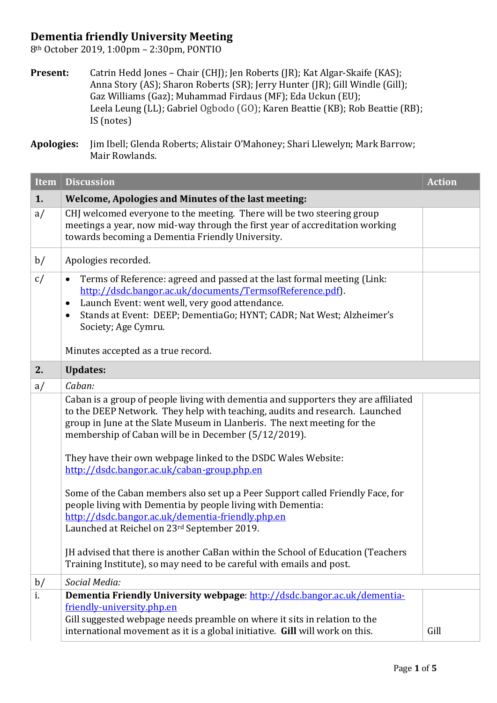## **Dementia friendly University Meeting**

8th October 2019, 1:00pm – 2:30pm, PONTIO

- **Present:** Catrin Hedd Jones Chair (CHJ); Jen Roberts (JR); Kat Algar-Skaife (KAS); Anna Story (AS); Sharon Roberts (SR); Jerry Hunter (JR); Gill Windle (Gill); Gaz Williams (Gaz); Muhammad Firdaus (MF); Eda Uckun (EU); Leela Leung (LL); Gabriel Ogbodo (GO); Karen Beattie (KB); Rob Beattie (RB); IS (notes)
- **Apologies:** Jim Ibell; Glenda Roberts; Alistair O'Mahoney; Shari Llewelyn; Mark Barrow; Mair Rowlands.

| <b>Item</b> | <b>Discussion</b>                                                                                                                                                                                                                                                                                                                                                  | <b>Action</b> |
|-------------|--------------------------------------------------------------------------------------------------------------------------------------------------------------------------------------------------------------------------------------------------------------------------------------------------------------------------------------------------------------------|---------------|
| 1.          | <b>Welcome, Apologies and Minutes of the last meeting:</b>                                                                                                                                                                                                                                                                                                         |               |
| a/          | CHJ welcomed everyone to the meeting. There will be two steering group<br>meetings a year, now mid-way through the first year of accreditation working<br>towards becoming a Dementia Friendly University.                                                                                                                                                         |               |
| b/          | Apologies recorded.                                                                                                                                                                                                                                                                                                                                                |               |
| c/          | Terms of Reference: agreed and passed at the last formal meeting (Link:<br>$\bullet$<br>http://dsdc.bangor.ac.uk/documents/TermsofReference.pdf).<br>Launch Event: went well, very good attendance.<br>$\bullet$<br>Stands at Event: DEEP; DementiaGo; HYNT; CADR; Nat West; Alzheimer's<br>$\bullet$<br>Society; Age Cymru.<br>Minutes accepted as a true record. |               |
| 2.          | <b>Updates:</b>                                                                                                                                                                                                                                                                                                                                                    |               |
| a/          | Caban:                                                                                                                                                                                                                                                                                                                                                             |               |
|             | Caban is a group of people living with dementia and supporters they are affiliated<br>to the DEEP Network. They help with teaching, audits and research. Launched<br>group in June at the Slate Museum in Llanberis. The next meeting for the<br>membership of Caban will be in December (5/12/2019).                                                              |               |
|             | They have their own webpage linked to the DSDC Wales Website:<br>http://dsdc.bangor.ac.uk/caban-group.php.en                                                                                                                                                                                                                                                       |               |
|             | Some of the Caban members also set up a Peer Support called Friendly Face, for<br>people living with Dementia by people living with Dementia:<br>http://dsdc.bangor.ac.uk/dementia-friendly.php.en<br>Launched at Reichel on 23rd September 2019.                                                                                                                  |               |
|             | JH advised that there is another CaBan within the School of Education (Teachers<br>Training Institute), so may need to be careful with emails and post.                                                                                                                                                                                                            |               |
| b/          | Social Media:                                                                                                                                                                                                                                                                                                                                                      |               |
| i.          | Dementia Friendly University webpage: http://dsdc.bangor.ac.uk/dementia-<br>friendly-university.php.en<br>Gill suggested webpage needs preamble on where it sits in relation to the<br>international movement as it is a global initiative. Gill will work on this.                                                                                                | Gill          |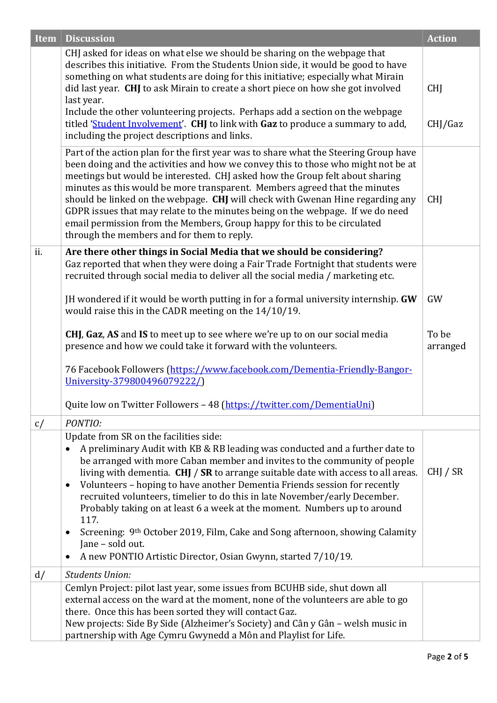| <b>Item</b> | <b>Discussion</b>                                                                                                                                                                                                                                                                                                                                                                                                                                                                                                                                                                                                                     | <b>Action</b>         |
|-------------|---------------------------------------------------------------------------------------------------------------------------------------------------------------------------------------------------------------------------------------------------------------------------------------------------------------------------------------------------------------------------------------------------------------------------------------------------------------------------------------------------------------------------------------------------------------------------------------------------------------------------------------|-----------------------|
|             | CHJ asked for ideas on what else we should be sharing on the webpage that<br>describes this initiative. From the Students Union side, it would be good to have<br>something on what students are doing for this initiative; especially what Mirain<br>did last year. CHJ to ask Mirain to create a short piece on how she got involved<br>last year.<br>Include the other volunteering projects. Perhaps add a section on the webpage<br>titled 'Student Involvement'. CHJ to link with Gaz to produce a summary to add,<br>including the project descriptions and links.                                                             | <b>CHI</b><br>CHJ/Gaz |
|             | Part of the action plan for the first year was to share what the Steering Group have<br>been doing and the activities and how we convey this to those who might not be at<br>meetings but would be interested. CHJ asked how the Group felt about sharing<br>minutes as this would be more transparent. Members agreed that the minutes<br>should be linked on the webpage. CHJ will check with Gwenan Hine regarding any<br>GDPR issues that may relate to the minutes being on the webpage. If we do need<br>email permission from the Members, Group happy for this to be circulated<br>through the members and for them to reply. | <b>CHI</b>            |
| ii.         | Are there other things in Social Media that we should be considering?<br>Gaz reported that when they were doing a Fair Trade Fortnight that students were<br>recruited through social media to deliver all the social media / marketing etc.<br>JH wondered if it would be worth putting in for a formal university internship. GW                                                                                                                                                                                                                                                                                                    | GW                    |
|             | would raise this in the CADR meeting on the 14/10/19.                                                                                                                                                                                                                                                                                                                                                                                                                                                                                                                                                                                 |                       |
|             | CHJ, Gaz, AS and IS to meet up to see where we're up to on our social media<br>presence and how we could take it forward with the volunteers.                                                                                                                                                                                                                                                                                                                                                                                                                                                                                         | To be<br>arranged     |
|             | 76 Facebook Followers (https://www.facebook.com/Dementia-Friendly-Bangor-<br>University-379800496079222/)                                                                                                                                                                                                                                                                                                                                                                                                                                                                                                                             |                       |
|             | Quite low on Twitter Followers - 48 (https://twitter.com/DementiaUni)                                                                                                                                                                                                                                                                                                                                                                                                                                                                                                                                                                 |                       |
| c/          | PONTIO:                                                                                                                                                                                                                                                                                                                                                                                                                                                                                                                                                                                                                               |                       |
|             | Update from SR on the facilities side:<br>A preliminary Audit with KB & RB leading was conducted and a further date to<br>$\bullet$<br>be arranged with more Caban member and invites to the community of people<br>living with dementia. $CHJ / SR$ to arrange suitable date with access to all areas.<br>Volunteers - hoping to have another Dementia Friends session for recently<br>$\bullet$<br>recruited volunteers, timelier to do this in late November/early December.<br>Probably taking on at least 6 a week at the moment. Numbers up to around<br>117.                                                                   | CHJ / SR              |
|             | Screening: 9th October 2019, Film, Cake and Song afternoon, showing Calamity<br>$\bullet$<br>Jane - sold out.<br>A new PONTIO Artistic Director, Osian Gwynn, started 7/10/19.<br>$\bullet$                                                                                                                                                                                                                                                                                                                                                                                                                                           |                       |
| d/          | <b>Students Union:</b>                                                                                                                                                                                                                                                                                                                                                                                                                                                                                                                                                                                                                |                       |
|             | Cemlyn Project: pilot last year, some issues from BCUHB side, shut down all<br>external access on the ward at the moment, none of the volunteers are able to go<br>there. Once this has been sorted they will contact Gaz.<br>New projects: Side By Side (Alzheimer's Society) and Cân y Gân - welsh music in<br>partnership with Age Cymru Gwynedd a Môn and Playlist for Life.                                                                                                                                                                                                                                                      |                       |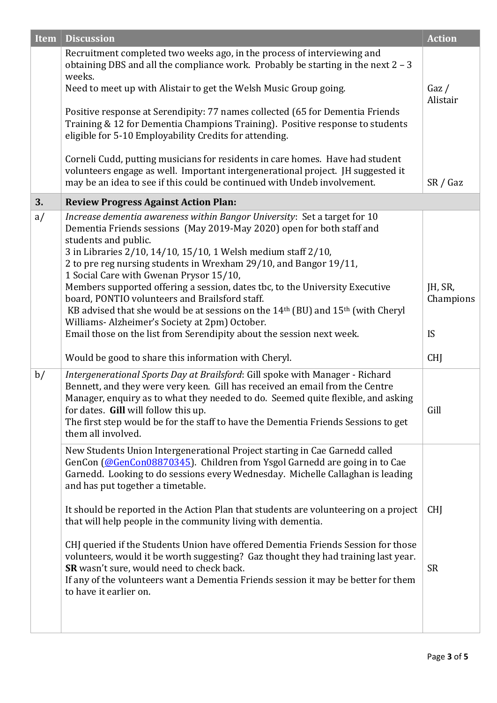| Item | <b>Discussion</b>                                                                                                                                                                                                                                                                                                                                                                                                                                                                                                                                                                                                                                                                                                                                                                                                                                                                                                                                                                                                           | <b>Action</b>                            |
|------|-----------------------------------------------------------------------------------------------------------------------------------------------------------------------------------------------------------------------------------------------------------------------------------------------------------------------------------------------------------------------------------------------------------------------------------------------------------------------------------------------------------------------------------------------------------------------------------------------------------------------------------------------------------------------------------------------------------------------------------------------------------------------------------------------------------------------------------------------------------------------------------------------------------------------------------------------------------------------------------------------------------------------------|------------------------------------------|
|      | Recruitment completed two weeks ago, in the process of interviewing and<br>obtaining DBS and all the compliance work. Probably be starting in the next $2 - 3$<br>weeks.<br>Need to meet up with Alistair to get the Welsh Music Group going.<br>Positive response at Serendipity: 77 names collected (65 for Dementia Friends<br>Training & 12 for Dementia Champions Training). Positive response to students<br>eligible for 5-10 Employability Credits for attending.                                                                                                                                                                                                                                                                                                                                                                                                                                                                                                                                                   | Gaz/<br>Alistair                         |
|      | Corneli Cudd, putting musicians for residents in care homes. Have had student<br>volunteers engage as well. Important intergenerational project. JH suggested it<br>may be an idea to see if this could be continued with Undeb involvement.                                                                                                                                                                                                                                                                                                                                                                                                                                                                                                                                                                                                                                                                                                                                                                                | SR / Gaz                                 |
| 3.   | <b>Review Progress Against Action Plan:</b>                                                                                                                                                                                                                                                                                                                                                                                                                                                                                                                                                                                                                                                                                                                                                                                                                                                                                                                                                                                 |                                          |
| a/   | Increase dementia awareness within Bangor University: Set a target for 10<br>Dementia Friends sessions (May 2019-May 2020) open for both staff and<br>students and public.<br>3 in Libraries 2/10, 14/10, 15/10, 1 Welsh medium staff 2/10,<br>2 to pre reg nursing students in Wrexham 29/10, and Bangor 19/11,<br>1 Social Care with Gwenan Prysor 15/10,<br>Members supported offering a session, dates tbc, to the University Executive<br>board, PONTIO volunteers and Brailsford staff.<br>KB advised that she would be at sessions on the 14 <sup>th</sup> (BU) and 15 <sup>th</sup> (with Cheryl<br>Williams- Alzheimer's Society at 2pm) October.<br>Email those on the list from Serendipity about the session next week.<br>Would be good to share this information with Cheryl.                                                                                                                                                                                                                                 | JH, SR,<br>Champions<br>IS<br><b>CHJ</b> |
| b/   | Intergenerational Sports Day at Brailsford: Gill spoke with Manager - Richard<br>Bennett, and they were very keen. Gill has received an email from the Centre<br>Manager, enquiry as to what they needed to do. Seemed quite flexible, and asking<br>for dates. Gill will follow this up.<br>The first step would be for the staff to have the Dementia Friends Sessions to get<br>them all involved.<br>New Students Union Intergenerational Project starting in Cae Garnedd called<br>GenCon (@GenCon08870345). Children from Ysgol Garnedd are going in to Cae<br>Garnedd. Looking to do sessions every Wednesday. Michelle Callaghan is leading<br>and has put together a timetable.<br>It should be reported in the Action Plan that students are volunteering on a project<br>that will help people in the community living with dementia.<br>CHJ queried if the Students Union have offered Dementia Friends Session for those<br>volunteers, would it be worth suggesting? Gaz thought they had training last year. | Gill<br><b>CHI</b>                       |
|      | SR wasn't sure, would need to check back.<br>If any of the volunteers want a Dementia Friends session it may be better for them<br>to have it earlier on.                                                                                                                                                                                                                                                                                                                                                                                                                                                                                                                                                                                                                                                                                                                                                                                                                                                                   | <b>SR</b>                                |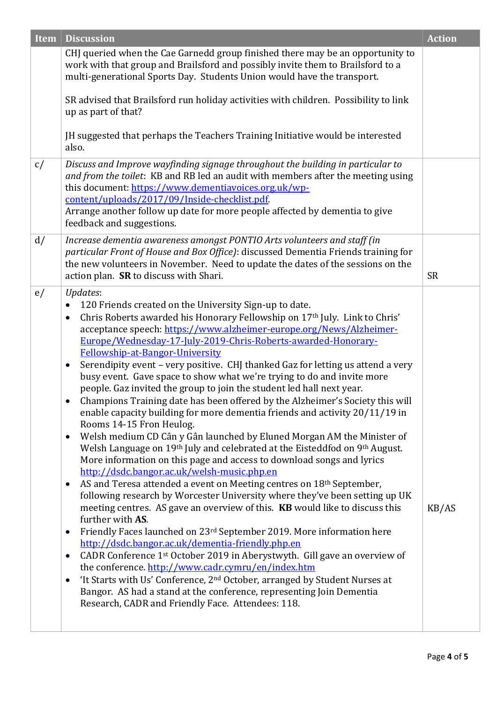| Item | <b>Discussion</b>                                                                                                                                                                                                                                                                                                                                                                                                                                                                                                                                                                                                                                                                                                                                                                                                                                                                                                                                                                                                                                                                                                                                                                                                                                                                                                                                                                                                                                                                                                                                                                                                                                                                                                                                                                                                                                                                                        | <b>Action</b> |
|------|----------------------------------------------------------------------------------------------------------------------------------------------------------------------------------------------------------------------------------------------------------------------------------------------------------------------------------------------------------------------------------------------------------------------------------------------------------------------------------------------------------------------------------------------------------------------------------------------------------------------------------------------------------------------------------------------------------------------------------------------------------------------------------------------------------------------------------------------------------------------------------------------------------------------------------------------------------------------------------------------------------------------------------------------------------------------------------------------------------------------------------------------------------------------------------------------------------------------------------------------------------------------------------------------------------------------------------------------------------------------------------------------------------------------------------------------------------------------------------------------------------------------------------------------------------------------------------------------------------------------------------------------------------------------------------------------------------------------------------------------------------------------------------------------------------------------------------------------------------------------------------------------------------|---------------|
|      | CHJ queried when the Cae Garnedd group finished there may be an opportunity to<br>work with that group and Brailsford and possibly invite them to Brailsford to a<br>multi-generational Sports Day. Students Union would have the transport.                                                                                                                                                                                                                                                                                                                                                                                                                                                                                                                                                                                                                                                                                                                                                                                                                                                                                                                                                                                                                                                                                                                                                                                                                                                                                                                                                                                                                                                                                                                                                                                                                                                             |               |
|      | SR advised that Brailsford run holiday activities with children. Possibility to link<br>up as part of that?                                                                                                                                                                                                                                                                                                                                                                                                                                                                                                                                                                                                                                                                                                                                                                                                                                                                                                                                                                                                                                                                                                                                                                                                                                                                                                                                                                                                                                                                                                                                                                                                                                                                                                                                                                                              |               |
|      | JH suggested that perhaps the Teachers Training Initiative would be interested<br>also.                                                                                                                                                                                                                                                                                                                                                                                                                                                                                                                                                                                                                                                                                                                                                                                                                                                                                                                                                                                                                                                                                                                                                                                                                                                                                                                                                                                                                                                                                                                                                                                                                                                                                                                                                                                                                  |               |
| c/   | Discuss and Improve wayfinding signage throughout the building in particular to<br>and from the toilet: KB and RB led an audit with members after the meeting using<br>this document: https://www.dementiavoices.org.uk/wp-<br>content/uploads/2017/09/Inside-checklist.pdf.<br>Arrange another follow up date for more people affected by dementia to give<br>feedback and suggestions.                                                                                                                                                                                                                                                                                                                                                                                                                                                                                                                                                                                                                                                                                                                                                                                                                                                                                                                                                                                                                                                                                                                                                                                                                                                                                                                                                                                                                                                                                                                 |               |
| d/   | Increase dementia awareness amongst PONTIO Arts volunteers and staff (in<br>particular Front of House and Box Office): discussed Dementia Friends training for<br>the new volunteers in November. Need to update the dates of the sessions on the<br>action plan. SR to discuss with Shari.                                                                                                                                                                                                                                                                                                                                                                                                                                                                                                                                                                                                                                                                                                                                                                                                                                                                                                                                                                                                                                                                                                                                                                                                                                                                                                                                                                                                                                                                                                                                                                                                              | <b>SR</b>     |
| e/   | Updates:<br>120 Friends created on the University Sign-up to date.<br>$\bullet$<br>Chris Roberts awarded his Honorary Fellowship on 17th July. Link to Chris'<br>$\bullet$<br>acceptance speech: https://www.alzheimer-europe.org/News/Alzheimer-<br>Europe/Wednesday-17-July-2019-Chris-Roberts-awarded-Honorary-<br>Fellowship-at-Bangor-University<br>Serendipity event - very positive. CHJ thanked Gaz for letting us attend a very<br>$\bullet$<br>busy event. Gave space to show what we're trying to do and invite more<br>people. Gaz invited the group to join the student led hall next year.<br>Champions Training date has been offered by the Alzheimer's Society this will<br>enable capacity building for more dementia friends and activity 20/11/19 in<br>Rooms 14-15 Fron Heulog.<br>Welsh medium CD Cân y Gân launched by Eluned Morgan AM the Minister of<br>$\bullet$<br>Welsh Language on 19th July and celebrated at the Eisteddfod on 9th August.<br>More information on this page and access to download songs and lyrics<br>http://dsdc.bangor.ac.uk/welsh-music.php.en<br>AS and Teresa attended a event on Meeting centres on 18th September,<br>$\bullet$<br>following research by Worcester University where they've been setting up UK<br>meeting centres. AS gave an overview of this. KB would like to discuss this<br>further with AS.<br>Friendly Faces launched on 23rd September 2019. More information here<br>$\bullet$<br>http://dsdc.bangor.ac.uk/dementia-friendly.php.en<br>CADR Conference 1st October 2019 in Aberystwyth. Gill gave an overview of<br>$\bullet$<br>the conference. http://www.cadr.cymru/en/index.htm<br>'It Starts with Us' Conference, 2 <sup>nd</sup> October, arranged by Student Nurses at<br>$\bullet$<br>Bangor. AS had a stand at the conference, representing Join Dementia<br>Research, CADR and Friendly Face. Attendees: 118. | KB/AS         |